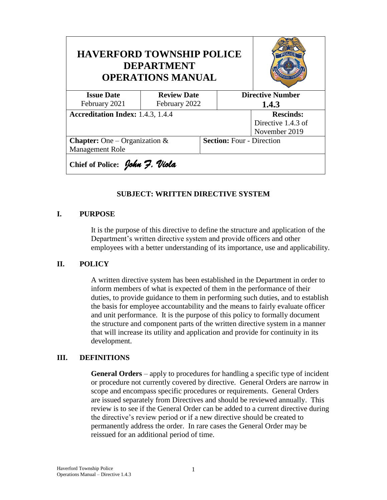| <b>HAVERFORD TOWNSHIP POLICE</b><br><b>DEPARTMENT</b><br><b>OPERATIONS MANUAL</b> |                    |                                  |       |                         |
|-----------------------------------------------------------------------------------|--------------------|----------------------------------|-------|-------------------------|
| <b>Issue Date</b>                                                                 | <b>Review Date</b> |                                  |       | <b>Directive Number</b> |
| February 2021                                                                     | February 2022      |                                  | 1.4.3 |                         |
| <b>Accreditation Index: 1.4.3, 1.4.4</b>                                          |                    |                                  |       | <b>Rescinds:</b>        |
|                                                                                   |                    |                                  |       | Directive 1.4.3 of      |
|                                                                                   |                    |                                  |       | November 2019           |
| <b>Chapter:</b> One – Organization &                                              |                    | <b>Section: Four - Direction</b> |       |                         |
| Management Role                                                                   |                    |                                  |       |                         |
| Chief of Police: John 7. Viola                                                    |                    |                                  |       |                         |

## **SUBJECT: WRITTEN DIRECTIVE SYSTEM**

## **I. PURPOSE**

It is the purpose of this directive to define the structure and application of the Department's written directive system and provide officers and other employees with a better understanding of its importance, use and applicability.

## **II. POLICY**

A written directive system has been established in the Department in order to inform members of what is expected of them in the performance of their duties, to provide guidance to them in performing such duties, and to establish the basis for employee accountability and the means to fairly evaluate officer and unit performance. It is the purpose of this policy to formally document the structure and component parts of the written directive system in a manner that will increase its utility and application and provide for continuity in its development.

## **III. DEFINITIONS**

**General Orders** – apply to procedures for handling a specific type of incident or procedure not currently covered by directive. General Orders are narrow in scope and encompass specific procedures or requirements. General Orders are issued separately from Directives and should be reviewed annually. This review is to see if the General Order can be added to a current directive during the directive's review period or if a new directive should be created to permanently address the order. In rare cases the General Order may be reissued for an additional period of time.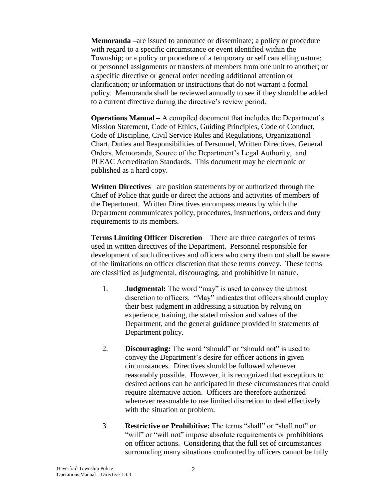**Memoranda –**are issued to announce or disseminate; a policy or procedure with regard to a specific circumstance or event identified within the Township; or a policy or procedure of a temporary or self cancelling nature; or personnel assignments or transfers of members from one unit to another; or a specific directive or general order needing additional attention or clarification; or information or instructions that do not warrant a formal policy. Memoranda shall be reviewed annually to see if they should be added to a current directive during the directive's review period.

**Operations Manual –** A compiled document that includes the Department's Mission Statement, Code of Ethics, Guiding Principles, Code of Conduct, Code of Discipline, Civil Service Rules and Regulations, Organizational Chart, Duties and Responsibilities of Personnel, Written Directives, General Orders, Memoranda, Source of the Department's Legal Authority, and PLEAC Accreditation Standards. This document may be electronic or published as a hard copy.

**Written Directives** –are position statements by or authorized through the Chief of Police that guide or direct the actions and activities of members of the Department. Written Directives encompass means by which the Department communicates policy, procedures, instructions, orders and duty requirements to its members.

**Terms Limiting Officer Discretion** – There are three categories of terms used in written directives of the Department. Personnel responsible for development of such directives and officers who carry them out shall be aware of the limitations on officer discretion that these terms convey. These terms are classified as judgmental, discouraging, and prohibitive in nature.

- 1. **Judgmental:** The word "may" is used to convey the utmost discretion to officers. "May" indicates that officers should employ their best judgment in addressing a situation by relying on experience, training, the stated mission and values of the Department, and the general guidance provided in statements of Department policy.
- 2. **Discouraging:** The word "should" or "should not" is used to convey the Department's desire for officer actions in given circumstances. Directives should be followed whenever reasonably possible. However, it is recognized that exceptions to desired actions can be anticipated in these circumstances that could require alternative action. Officers are therefore authorized whenever reasonable to use limited discretion to deal effectively with the situation or problem.
- 3. **Restrictive or Prohibitive:** The terms "shall" or "shall not" or "will" or "will not" impose absolute requirements or prohibitions on officer actions. Considering that the full set of circumstances surrounding many situations confronted by officers cannot be fully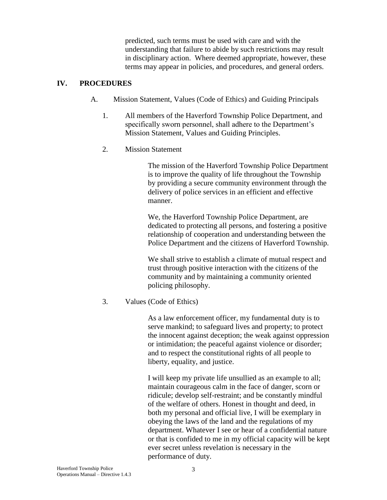predicted, such terms must be used with care and with the understanding that failure to abide by such restrictions may result in disciplinary action. Where deemed appropriate, however, these terms may appear in policies, and procedures, and general orders.

## **IV. PROCEDURES**

- A. Mission Statement, Values (Code of Ethics) and Guiding Principals
	- 1. All members of the Haverford Township Police Department, and specifically sworn personnel, shall adhere to the Department's Mission Statement, Values and Guiding Principles.
	- 2. Mission Statement

The mission of the Haverford Township Police Department is to improve the quality of life throughout the Township by providing a secure community environment through the delivery of police services in an efficient and effective manner.

We, the Haverford Township Police Department, are dedicated to protecting all persons, and fostering a positive relationship of cooperation and understanding between the Police Department and the citizens of Haverford Township.

We shall strive to establish a climate of mutual respect and trust through positive interaction with the citizens of the community and by maintaining a community oriented policing philosophy.

# 3. Values (Code of Ethics)

As a law enforcement officer, my fundamental duty is to serve mankind; to safeguard lives and property; to protect the innocent against deception; the weak against oppression or intimidation; the peaceful against violence or disorder; and to respect the constitutional rights of all people to liberty, equality, and justice.

I will keep my private life unsullied as an example to all; maintain courageous calm in the face of danger, scorn or ridicule; develop self-restraint; and be constantly mindful of the welfare of others. Honest in thought and deed, in both my personal and official live, I will be exemplary in obeying the laws of the land and the regulations of my department. Whatever I see or hear of a confidential nature or that is confided to me in my official capacity will be kept ever secret unless revelation is necessary in the performance of duty.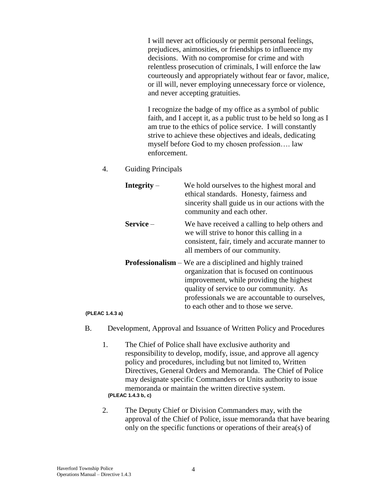I will never act officiously or permit personal feelings, prejudices, animosities, or friendships to influence my decisions. With no compromise for crime and with relentless prosecution of criminals, I will enforce the law courteously and appropriately without fear or favor, malice, or ill will, never employing unnecessary force or violence, and never accepting gratuities.

I recognize the badge of my office as a symbol of public faith, and I accept it, as a public trust to be held so long as I am true to the ethics of police service. I will constantly strive to achieve these objectives and ideals, dedicating myself before God to my chosen profession…. law enforcement.

4. Guiding Principals

| Integrity $-$ | We hold ourselves to the highest moral and<br>ethical standards. Honesty, fairness and<br>sincerity shall guide us in our actions with the<br>community and each other.                                                                                                                         |
|---------------|-------------------------------------------------------------------------------------------------------------------------------------------------------------------------------------------------------------------------------------------------------------------------------------------------|
| $Service-$    | We have received a calling to help others and<br>we will strive to honor this calling in a<br>consistent, fair, timely and accurate manner to<br>all members of our community.                                                                                                                  |
|               | <b>Professionalism</b> – We are a disciplined and highly trained<br>organization that is focused on continuous<br>improvement, while providing the highest<br>quality of service to our community. As<br>professionals we are accountable to ourselves,<br>to each other and to those we serve. |

#### **(PLEAC 1.4.3 a)**

- B. Development, Approval and Issuance of Written Policy and Procedures
	- 1. The Chief of Police shall have exclusive authority and responsibility to develop, modify, issue, and approve all agency policy and procedures, including but not limited to, Written Directives, General Orders and Memoranda. The Chief of Police may designate specific Commanders or Units authority to issue memoranda or maintain the written directive system. **(PLEAC 1.4.3 b, c)**
	- 2. The Deputy Chief or Division Commanders may, with the approval of the Chief of Police, issue memoranda that have bearing only on the specific functions or operations of their area(s) of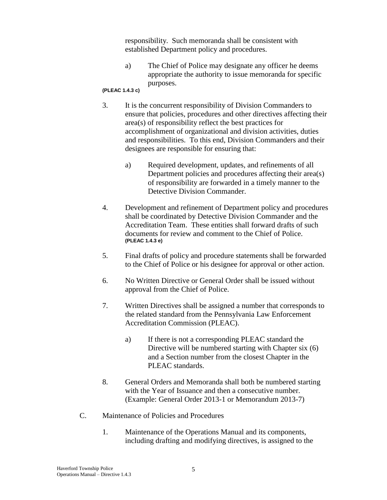responsibility. Such memoranda shall be consistent with established Department policy and procedures.

a) The Chief of Police may designate any officer he deems appropriate the authority to issue memoranda for specific purposes.

### **(PLEAC 1.4.3 c)**

- 3. It is the concurrent responsibility of Division Commanders to ensure that policies, procedures and other directives affecting their area(s) of responsibility reflect the best practices for accomplishment of organizational and division activities, duties and responsibilities. To this end, Division Commanders and their designees are responsible for ensuring that:
	- a) Required development, updates, and refinements of all Department policies and procedures affecting their area(s) of responsibility are forwarded in a timely manner to the Detective Division Commander.
- 4. Development and refinement of Department policy and procedures shall be coordinated by Detective Division Commander and the Accreditation Team. These entities shall forward drafts of such documents for review and comment to the Chief of Police. **(PLEAC 1.4.3 e)**
- 5. Final drafts of policy and procedure statements shall be forwarded to the Chief of Police or his designee for approval or other action.
- 6. No Written Directive or General Order shall be issued without approval from the Chief of Police.
- 7. Written Directives shall be assigned a number that corresponds to the related standard from the Pennsylvania Law Enforcement Accreditation Commission (PLEAC).
	- a) If there is not a corresponding PLEAC standard the Directive will be numbered starting with Chapter six (6) and a Section number from the closest Chapter in the PLEAC standards.
- 8. General Orders and Memoranda shall both be numbered starting with the Year of Issuance and then a consecutive number. (Example: General Order 2013-1 or Memorandum 2013-7)
- C. Maintenance of Policies and Procedures
	- 1. Maintenance of the Operations Manual and its components, including drafting and modifying directives, is assigned to the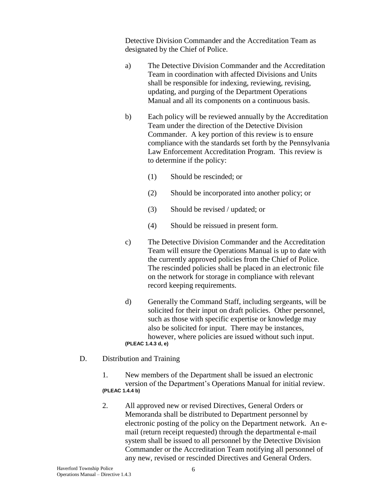Detective Division Commander and the Accreditation Team as designated by the Chief of Police.

- a) The Detective Division Commander and the Accreditation Team in coordination with affected Divisions and Units shall be responsible for indexing, reviewing, revising, updating, and purging of the Department Operations Manual and all its components on a continuous basis.
- b) Each policy will be reviewed annually by the Accreditation Team under the direction of the Detective Division Commander. A key portion of this review is to ensure compliance with the standards set forth by the Pennsylvania Law Enforcement Accreditation Program. This review is to determine if the policy:
	- (1) Should be rescinded; or
	- (2) Should be incorporated into another policy; or
	- (3) Should be revised / updated; or
	- (4) Should be reissued in present form.
- c) The Detective Division Commander and the Accreditation Team will ensure the Operations Manual is up to date with the currently approved policies from the Chief of Police. The rescinded policies shall be placed in an electronic file on the network for storage in compliance with relevant record keeping requirements.
- d) Generally the Command Staff, including sergeants, will be solicited for their input on draft policies. Other personnel, such as those with specific expertise or knowledge may also be solicited for input. There may be instances, however, where policies are issued without such input. **(PLEAC 1.4.3 d, e)**
- D. Distribution and Training
	- 1. New members of the Department shall be issued an electronic version of the Department's Operations Manual for initial review. **(PLEAC 1.4.4 b)**
	- 2. All approved new or revised Directives, General Orders or Memoranda shall be distributed to Department personnel by electronic posting of the policy on the Department network. An email (return receipt requested) through the departmental e-mail system shall be issued to all personnel by the Detective Division Commander or the Accreditation Team notifying all personnel of any new, revised or rescinded Directives and General Orders.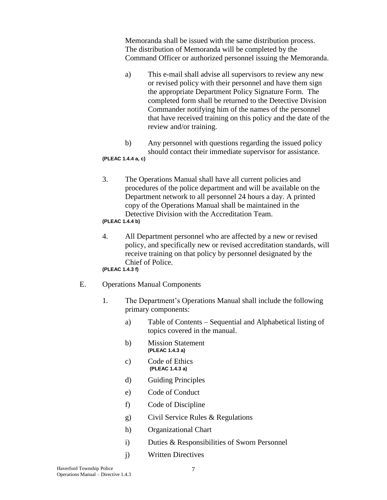Memoranda shall be issued with the same distribution process. The distribution of Memoranda will be completed by the Command Officer or authorized personnel issuing the Memoranda.

- a) This e-mail shall advise all supervisors to review any new or revised policy with their personnel and have them sign the appropriate Department Policy Signature Form. The completed form shall be returned to the Detective Division Commander notifying him of the names of the personnel that have received training on this policy and the date of the review and/or training.
- b) Any personnel with questions regarding the issued policy should contact their immediate supervisor for assistance.

### **(PLEAC 1.4.4 a, c)**

3. The Operations Manual shall have all current policies and procedures of the police department and will be available on the Department network to all personnel 24 hours a day. A printed copy of the Operations Manual shall be maintained in the Detective Division with the Accreditation Team.

### **(PLEAC 1.4.4 b)**

4. All Department personnel who are affected by a new or revised policy, and specifically new or revised accreditation standards, will receive training on that policy by personnel designated by the Chief of Police.

### **(PLEAC 1.4.3 f)**

- E. Operations Manual Components
	- 1. The Department's Operations Manual shall include the following primary components:
		- a) Table of Contents Sequential and Alphabetical listing of topics covered in the manual.
		- b) Mission Statement **(PLEAC 1.4.3 a)**
		- c) Code of Ethics **(PLEAC 1.4.3 a)**
		- d) Guiding Principles
		- e) Code of Conduct
		- f) Code of Discipline
		- g) Civil Service Rules & Regulations
		- h) Organizational Chart
		- i) Duties & Responsibilities of Sworn Personnel
		- j) Written Directives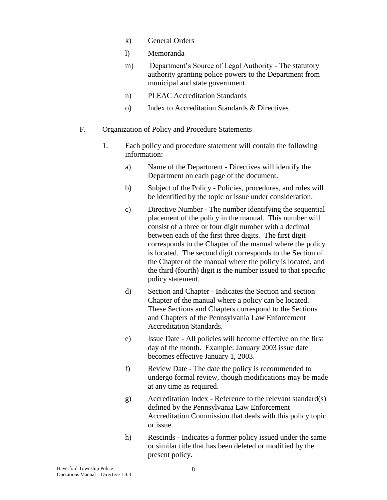- k) General Orders
- l) Memoranda
- m) Department's Source of Legal Authority The statutory authority granting police powers to the Department from municipal and state government.
- n) PLEAC Accreditation Standards
- o) Index to Accreditation Standards & Directives
- F. Organization of Policy and Procedure Statements
	- 1. Each policy and procedure statement will contain the following information:
		- a) Name of the Department Directives will identify the Department on each page of the document.
		- b) Subject of the Policy Policies, procedures, and rules will be identified by the topic or issue under consideration.
		- c) Directive Number The number identifying the sequential placement of the policy in the manual. This number will consist of a three or four digit number with a decimal between each of the first three digits. The first digit corresponds to the Chapter of the manual where the policy is located. The second digit corresponds to the Section of the Chapter of the manual where the policy is located, and the third (fourth) digit is the number issued to that specific policy statement.
		- d) Section and Chapter Indicates the Section and section Chapter of the manual where a policy can be located. These Sections and Chapters correspond to the Sections and Chapters of the Pennsylvania Law Enforcement Accreditation Standards.
		- e) Issue Date All policies will become effective on the first day of the month. Example: January 2003 issue date becomes effective January 1, 2003.
		- f) Review Date The date the policy is recommended to undergo formal review, though modifications may be made at any time as required.
		- g) Accreditation Index Reference to the relevant standard(s) defined by the Pennsylvania Law Enforcement Accreditation Commission that deals with this policy topic or issue.
		- h) Rescinds Indicates a former policy issued under the same or similar title that has been deleted or modified by the present policy.